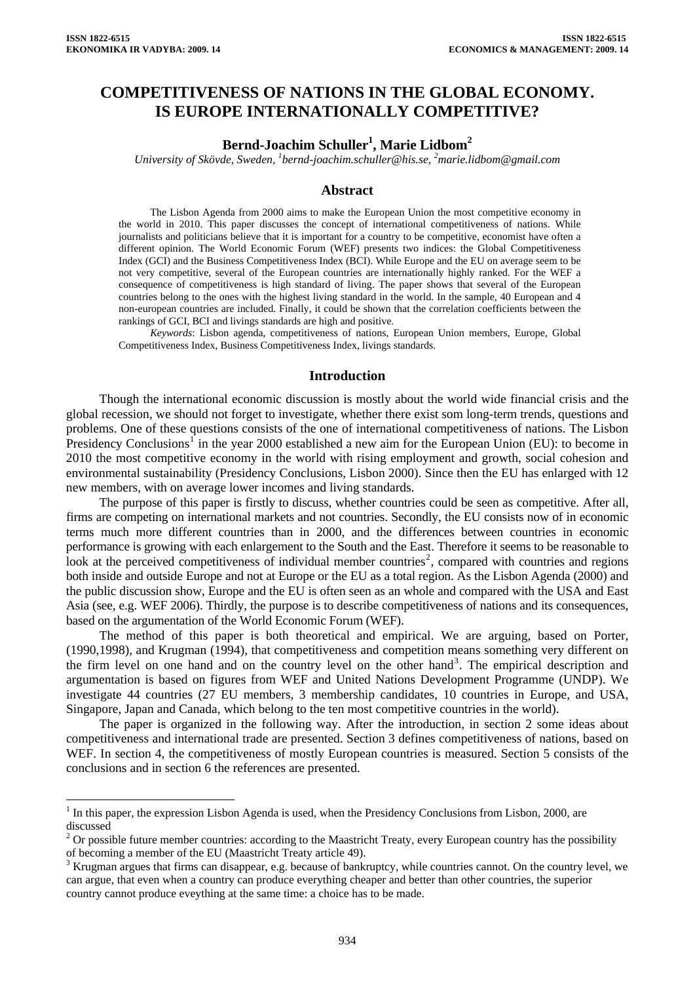$\overline{a}$ 

## **COMPETITIVENESS OF NATIONS IN THE GLOBAL ECONOMY. IS EUROPE INTERNATIONALLY COMPETITIVE?**

# $\mathrm{Bern}$ d-Joachim Schuller<sup>1</sup>, Marie Lidbom<sup>2</sup>

*University of Skövde, Sweden, 1 [bernd-joachim.schuller@his.se](mailto:bernd-joachim.schuller@his.se), <sup>2</sup> [marie.lidbom@gmail.com](mailto:marie.lidbom@gmail.com)*

### **Abstract**

The Lisbon Agenda from 2000 aims to make the European Union the most competitive economy in the world in 2010. This paper discusses the concept of international competitiveness of nations. While journalists and politicians believe that it is important for a country to be competitive, economist have often a different opinion. The World Economic Forum (WEF) presents two indices: the Global Competitiveness Index (GCI) and the Business Competitiveness Index (BCI). While Europe and the EU on average seem to be not very competitive, several of the European countries are internationally highly ranked. For the WEF a consequence of competitiveness is high standard of living. The paper shows that several of the European countries belong to the ones with the highest living standard in the world. In the sample, 40 European and 4 non-european countries are included. Finally, it could be shown that the correlation coefficients between the rankings of GCI, BCI and livings standards are high and positive.

*Keywords*: Lisbon agenda, competitiveness of nations, European Union members, Europe, Global Competitiveness Index, Business Competitiveness Index, livings standards.

#### **Introduction**

Though the international economic discussion is mostly about the world wide financial crisis and the global recession, we should not forget to investigate, whether there exist som long-term trends, questions and problems. One of these questions consists of the one of international competitiveness of nations. The Lisbon Presidency Conclusions<sup>[1](#page-0-0)</sup> in the year 2000 established a new aim for the European Union (EU): to become in 2010 the most competitive economy in the world with rising employment and growth, social cohesion and environmental sustainability (Presidency Conclusions, Lisbon 2000). Since then the EU has enlarged with 12 new members, with on average lower incomes and living standards.

The purpose of this paper is firstly to discuss, whether countries could be seen as competitive. After all, firms are competing on international markets and not countries. Secondly, the EU consists now of in economic terms much more different countries than in 2000, and the differences between countries in economic performance is growing with each enlargement to the South and the East. Therefore it seems to be reasonable to look at the perceived competitiveness of individual member countries<sup>[2](#page-0-1)</sup>, compared with countries and regions both inside and outside Europe and not at Europe or the EU as a total region. As the Lisbon Agenda (2000) and the public discussion show, Europe and the EU is often seen as an whole and compared with the USA and East Asia (see, e.g. WEF 2006). Thirdly, the purpose is to describe competitiveness of nations and its consequences, based on the argumentation of the World Economic Forum (WEF).

The method of this paper is both theoretical and empirical. We are arguing, based on Porter, (1990,1998), and Krugman (1994), that competitiveness and competition means something very different on the firm level on one hand and on the country level on the other hand<sup>[3](#page-0-2)</sup>. The empirical description and argumentation is based on figures from WEF and United Nations Development Programme (UNDP). We investigate 44 countries (27 EU members, 3 membership candidates, 10 countries in Europe, and USA, Singapore, Japan and Canada, which belong to the ten most competitive countries in the world).

The paper is organized in the following way. After the introduction, in section 2 some ideas about competitiveness and international trade are presented. Section 3 defines competitiveness of nations, based on WEF. In section 4, the competitiveness of mostly European countries is measured. Section 5 consists of the conclusions and in section 6 the references are presented.

<span id="page-0-0"></span> $<sup>1</sup>$  In this paper, the expression Lisbon Agenda is used, when the Presidency Conclusions from Lisbon, 2000, are</sup> discussed

<span id="page-0-1"></span><sup>2</sup> Or possible future member countries: according to the Maastricht Treaty, every European country has the possibility of becoming a member of the EU (Maastricht Treaty article 49).

<span id="page-0-2"></span> $3$  Krugman argues that firms can disappear, e.g. because of bankruptcy, while countries cannot. On the country level, we can argue, that even when a country can produce everything cheaper and better than other countries, the superior country cannot produce eveything at the same time: a choice has to be made.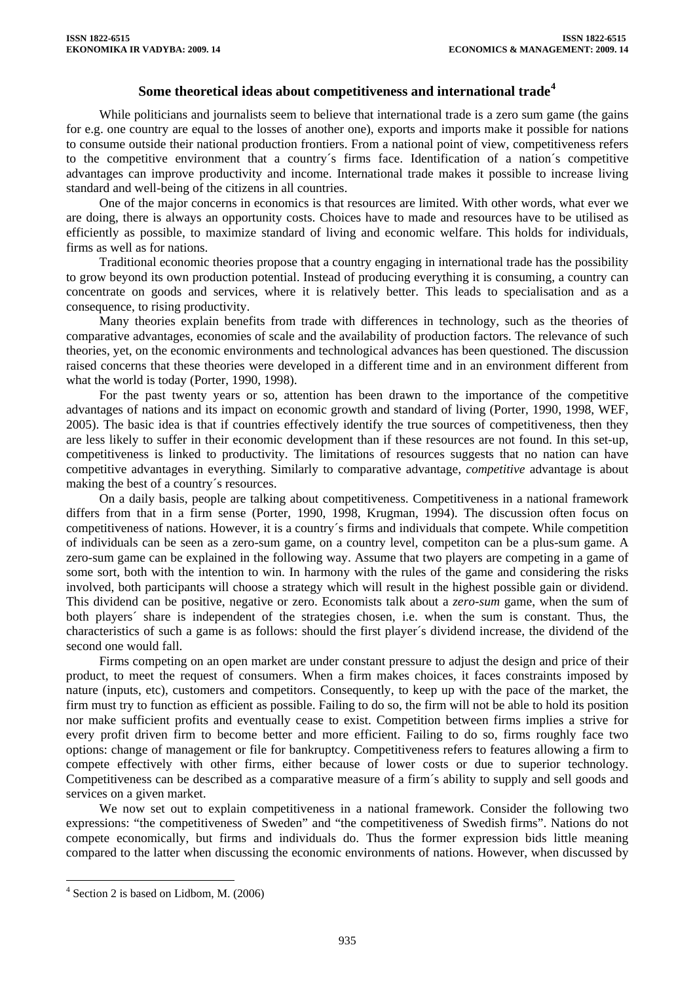### **Some theoretical ideas about competitiveness and international trade[4](#page-1-0)**

While politicians and journalists seem to believe that international trade is a zero sum game (the gains for e.g. one country are equal to the losses of another one), exports and imports make it possible for nations to consume outside their national production frontiers. From a national point of view, competitiveness refers to the competitive environment that a country´s firms face. Identification of a nation´s competitive advantages can improve productivity and income. International trade makes it possible to increase living standard and well-being of the citizens in all countries.

One of the major concerns in economics is that resources are limited. With other words, what ever we are doing, there is always an opportunity costs. Choices have to made and resources have to be utilised as efficiently as possible, to maximize standard of living and economic welfare. This holds for individuals, firms as well as for nations.

Traditional economic theories propose that a country engaging in international trade has the possibility to grow beyond its own production potential. Instead of producing everything it is consuming, a country can concentrate on goods and services, where it is relatively better. This leads to specialisation and as a consequence, to rising productivity.

Many theories explain benefits from trade with differences in technology, such as the theories of comparative advantages, economies of scale and the availability of production factors. The relevance of such theories, yet, on the economic environments and technological advances has been questioned. The discussion raised concerns that these theories were developed in a different time and in an environment different from what the world is today (Porter, 1990, 1998).

For the past twenty years or so, attention has been drawn to the importance of the competitive advantages of nations and its impact on economic growth and standard of living (Porter, 1990, 1998, WEF, 2005). The basic idea is that if countries effectively identify the true sources of competitiveness, then they are less likely to suffer in their economic development than if these resources are not found. In this set-up, competitiveness is linked to productivity. The limitations of resources suggests that no nation can have competitive advantages in everything. Similarly to comparative advantage, *competitive* advantage is about making the best of a country´s resources.

On a daily basis, people are talking about competitiveness. Competitiveness in a national framework differs from that in a firm sense (Porter, 1990, 1998, Krugman, 1994). The discussion often focus on competitiveness of nations. However, it is a country´s firms and individuals that compete. While competition of individuals can be seen as a zero-sum game, on a country level, competiton can be a plus-sum game. A zero-sum game can be explained in the following way. Assume that two players are competing in a game of some sort, both with the intention to win. In harmony with the rules of the game and considering the risks involved, both participants will choose a strategy which will result in the highest possible gain or dividend. This dividend can be positive, negative or zero. Economists talk about a *zero-sum* game, when the sum of both players´ share is independent of the strategies chosen, i.e. when the sum is constant. Thus, the characteristics of such a game is as follows: should the first player´s dividend increase, the dividend of the second one would fall.

Firms competing on an open market are under constant pressure to adjust the design and price of their product, to meet the request of consumers. When a firm makes choices, it faces constraints imposed by nature (inputs, etc), customers and competitors. Consequently, to keep up with the pace of the market, the firm must try to function as efficient as possible. Failing to do so, the firm will not be able to hold its position nor make sufficient profits and eventually cease to exist. Competition between firms implies a strive for every profit driven firm to become better and more efficient. Failing to do so, firms roughly face two options: change of management or file for bankruptcy. Competitiveness refers to features allowing a firm to compete effectively with other firms, either because of lower costs or due to superior technology. Competitiveness can be described as a comparative measure of a firm´s ability to supply and sell goods and services on a given market.

We now set out to explain competitiveness in a national framework. Consider the following two expressions: "the competitiveness of Sweden" and "the competitiveness of Swedish firms". Nations do not compete economically, but firms and individuals do. Thus the former expression bids little meaning compared to the latter when discussing the economic environments of nations. However, when discussed by

 $\overline{a}$ 

<span id="page-1-0"></span><sup>4</sup> Section 2 is based on Lidbom, M. (2006)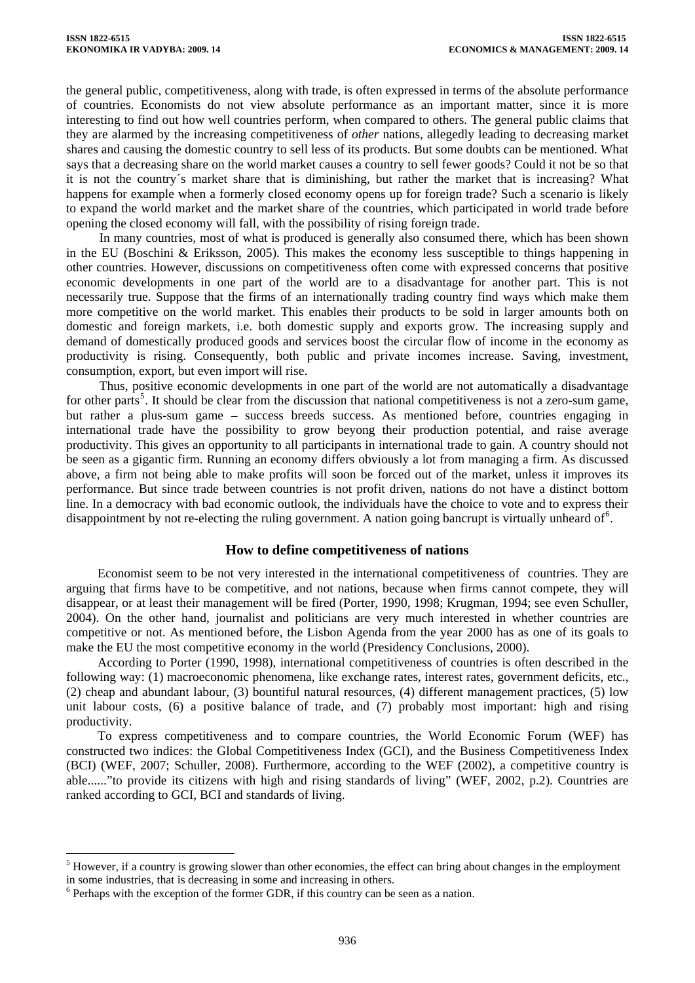the general public, competitiveness, along with trade, is often expressed in terms of the absolute performance of countries. Economists do not view absolute performance as an important matter, since it is more interesting to find out how well countries perform, when compared to others. The general public claims that they are alarmed by the increasing competitiveness of *other* nations, allegedly leading to decreasing market shares and causing the domestic country to sell less of its products. But some doubts can be mentioned. What says that a decreasing share on the world market causes a country to sell fewer goods? Could it not be so that it is not the country´s market share that is diminishing, but rather the market that is increasing? What happens for example when a formerly closed economy opens up for foreign trade? Such a scenario is likely to expand the world market and the market share of the countries, which participated in world trade before opening the closed economy will fall, with the possibility of rising foreign trade.

In many countries, most of what is produced is generally also consumed there, which has been shown in the EU (Boschini & Eriksson, 2005). This makes the economy less susceptible to things happening in other countries. However, discussions on competitiveness often come with expressed concerns that positive economic developments in one part of the world are to a disadvantage for another part. This is not necessarily true. Suppose that the firms of an internationally trading country find ways which make them more competitive on the world market. This enables their products to be sold in larger amounts both on domestic and foreign markets, i.e. both domestic supply and exports grow. The increasing supply and demand of domestically produced goods and services boost the circular flow of income in the economy as productivity is rising. Consequently, both public and private incomes increase. Saving, investment, consumption, export, but even import will rise.

Thus, positive economic developments in one part of the world are not automatically a disadvantage for other parts<sup>[5](#page-2-0)</sup>. It should be clear from the discussion that national competitiveness is not a zero-sum game, but rather a plus-sum game – success breeds success. As mentioned before, countries engaging in international trade have the possibility to grow beyong their production potential, and raise average productivity. This gives an opportunity to all participants in international trade to gain. A country should not be seen as a gigantic firm. Running an economy differs obviously a lot from managing a firm. As discussed above, a firm not being able to make profits will soon be forced out of the market, unless it improves its performance. But since trade between countries is not profit driven, nations do not have a distinct bottom line. In a democracy with bad economic outlook, the individuals have the choice to vote and to express their disappointment by not re-electing the ruling government. A nation going bancrupt is virtually unheard of  $6$ .

## **How to define competitiveness of nations**

Economist seem to be not very interested in the international competitiveness of countries. They are arguing that firms have to be competitive, and not nations, because when firms cannot compete, they will disappear, or at least their management will be fired (Porter, 1990, 1998; Krugman, 1994; see even Schuller, 2004). On the other hand, journalist and politicians are very much interested in whether countries are competitive or not. As mentioned before, the Lisbon Agenda from the year 2000 has as one of its goals to make the EU the most competitive economy in the world (Presidency Conclusions, 2000).

According to Porter (1990, 1998), international competitiveness of countries is often described in the following way: (1) macroeconomic phenomena, like exchange rates, interest rates, government deficits, etc., (2) cheap and abundant labour, (3) bountiful natural resources, (4) different management practices, (5) low unit labour costs, (6) a positive balance of trade, and (7) probably most important: high and rising productivity.

To express competitiveness and to compare countries, the World Economic Forum (WEF) has constructed two indices: the Global Competitiveness Index (GCI), and the Business Competitiveness Index (BCI) (WEF, 2007; Schuller, 2008). Furthermore, according to the WEF (2002), a competitive country is able......"to provide its citizens with high and rising standards of living" (WEF, 2002, p.2). Countries are ranked according to GCI, BCI and standards of living.

 $\overline{a}$ 

<span id="page-2-0"></span> $<sup>5</sup>$  However, if a country is growing slower than other economies, the effect can bring about changes in the employment</sup> in some industries, that is decreasing in some and increasing in others.

<span id="page-2-1"></span><sup>&</sup>lt;sup>6</sup> Perhaps with the exception of the former GDR, if this country can be seen as a nation.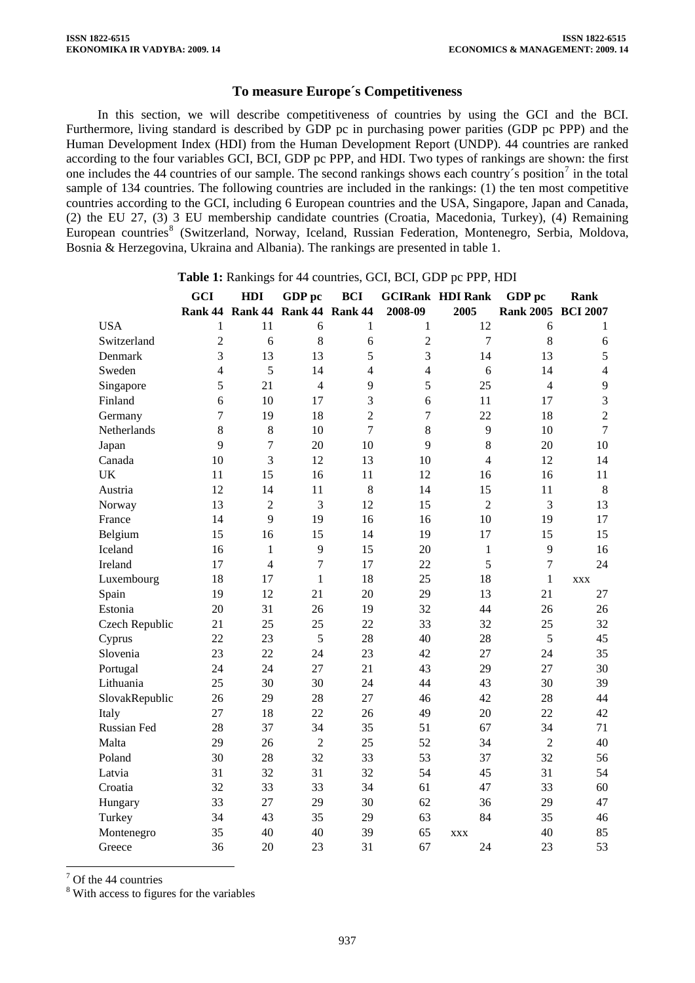### **To measure Europe´s Competitiveness**

In this section, we will describe competitiveness of countries by using the GCI and the BCI. Furthermore, living standard is described by GDP pc in purchasing power parities (GDP pc PPP) and the Human Development Index (HDI) from the Human Development Report (UNDP). 44 countries are ranked according to the four variables GCI, BCI, GDP pc PPP, and HDI. Two types of rankings are shown: the first one includes the 44 countries of our sample. The second rankings shows each country's position<sup>[7](#page-3-0)</sup> in the total sample of 134 countries. The following countries are included in the rankings: (1) the ten most competitive countries according to the GCI, including 6 European countries and the USA, Singapore, Japan and Canada, (2) the EU 27, (3) 3 EU membership candidate countries (Croatia, Macedonia, Turkey), (4) Remaining European countries<sup>[8](#page-3-1)</sup> (Switzerland, Norway, Iceland, Russian Federation, Montenegro, Serbia, Moldova, Bosnia & Herzegovina, Ukraina and Albania). The rankings are presented in table 1.

|                | <b>GCI</b> | HDI            | GDP pc                          | <b>BCI</b>     |                | <b>GCIRank HDI Rank</b> | GDP pc             | Rank             |
|----------------|------------|----------------|---------------------------------|----------------|----------------|-------------------------|--------------------|------------------|
|                |            |                | Rank 44 Rank 44 Rank 44 Rank 44 |                | 2008-09        | 2005                    | Rank 2005 BCI 2007 |                  |
| <b>USA</b>     | 1          | 11             | 6                               | 1              | 1              | 12                      | 6                  | 1                |
| Switzerland    | 2          | 6              | 8                               | 6              | $\overline{c}$ | 7                       | 8                  | 6                |
| Denmark        | 3          | 13             | 13                              | 5              | 3              | 14                      | 13                 | 5                |
| Sweden         | 4          | 5              | 14                              | $\overline{4}$ | $\overline{4}$ | 6                       | 14                 | $\overline{4}$   |
| Singapore      | 5          | 21             | $\overline{4}$                  | 9              | 5              | 25                      | $\overline{4}$     | 9                |
| Finland        | 6          | 10             | 17                              | 3              | 6              | 11                      | 17                 | 3                |
| Germany        | 7          | 19             | 18                              | $\overline{2}$ | 7              | 22                      | 18                 | $\boldsymbol{2}$ |
| Netherlands    | 8          | 8              | 10                              | $\overline{7}$ | 8              | 9                       | 10                 | $\overline{7}$   |
| Japan          | 9          | $\overline{7}$ | 20                              | 10             | 9              | 8                       | 20                 | 10               |
| Canada         | 10         | 3              | 12                              | 13             | 10             | $\overline{4}$          | 12                 | 14               |
| UK             | 11         | 15             | 16                              | 11             | 12             | 16                      | 16                 | 11               |
| Austria        | 12         | 14             | 11                              | $\,8\,$        | 14             | 15                      | 11                 | $\,8\,$          |
| Norway         | 13         | $\overline{2}$ | 3                               | 12             | 15             | $\overline{2}$          | 3                  | 13               |
| France         | 14         | 9              | 19                              | 16             | 16             | 10                      | 19                 | 17               |
| Belgium        | 15         | 16             | 15                              | 14             | 19             | 17                      | 15                 | 15               |
| Iceland        | 16         | $\mathbf{1}$   | 9                               | 15             | 20             | 1                       | 9                  | 16               |
| Ireland        | 17         | $\overline{4}$ | $\overline{7}$                  | 17             | 22             | 5                       | $\overline{7}$     | 24               |
| Luxembourg     | 18         | 17             | $\mathbf{1}$                    | 18             | 25             | 18                      | $\mathbf{1}$       | <b>XXX</b>       |
| Spain          | 19         | 12             | 21                              | 20             | 29             | 13                      | 21                 | 27               |
| Estonia        | 20         | 31             | 26                              | 19             | 32             | 44                      | 26                 | 26               |
| Czech Republic | 21         | 25             | 25                              | 22             | 33             | 32                      | 25                 | 32               |
| Cyprus         | 22         | 23             | 5                               | 28             | 40             | 28                      | 5                  | 45               |
| Slovenia       | 23         | 22             | 24                              | 23             | 42             | 27                      | 24                 | 35               |
| Portugal       | 24         | 24             | 27                              | 21             | 43             | 29                      | 27                 | 30               |
| Lithuania      | 25         | 30             | 30                              | 24             | 44             | 43                      | 30                 | 39               |
| SlovakRepublic | 26         | 29             | 28                              | 27             | 46             | 42                      | 28                 | 44               |
| Italy          | 27         | 18             | 22                              | 26             | 49             | 20                      | 22                 | 42               |
| Russian Fed    | 28         | 37             | 34                              | 35             | 51             | 67                      | 34                 | 71               |
| Malta          | 29         | 26             | $\overline{2}$                  | 25             | 52             | 34                      | $\overline{2}$     | 40               |
| Poland         | 30         | 28             | 32                              | 33             | 53             | 37                      | 32                 | 56               |
| Latvia         | 31         | 32             | 31                              | 32             | 54             | 45                      | 31                 | 54               |
| Croatia        | 32         | 33             | 33                              | 34             | 61             | 47                      | 33                 | 60               |
| Hungary        | 33         | 27             | 29                              | 30             | 62             | 36                      | 29                 | 47               |
| Turkey         | 34         | 43             | 35                              | 29             | 63             | 84                      | 35                 | 46               |
| Montenegro     | 35         | 40             | 40                              | 39             | 65             | <b>XXX</b>              | 40                 | 85               |
| Greece         | 36         | 20             | 23                              | 31             | 67             | 24                      | 23                 | 53               |

|  |  | <b>Table 1:</b> Rankings for 44 countries, GCI, BCI, GDP pc PPP, HDI |  |  |  |
|--|--|----------------------------------------------------------------------|--|--|--|
|  |  |                                                                      |  |  |  |

<span id="page-3-0"></span>7 Of the 44 countries

 $\overline{a}$ 

<span id="page-3-1"></span><sup>8</sup> With access to figures for the variables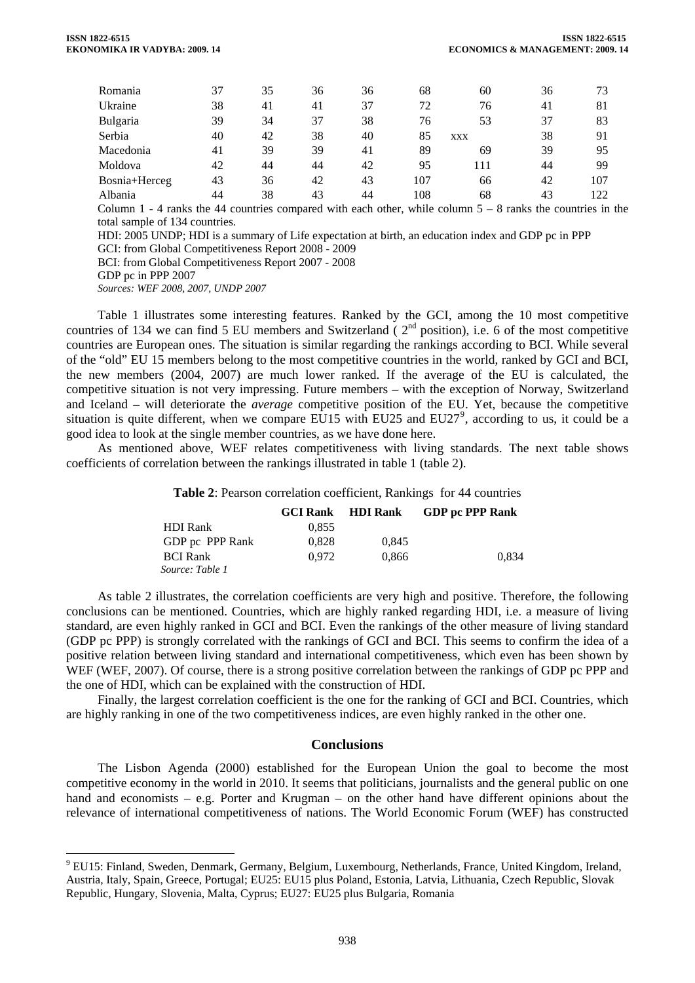| Romania                                                                                                       | 37 | 35 | 36 | 36 | 68  | 60         | 36 | 73  |
|---------------------------------------------------------------------------------------------------------------|----|----|----|----|-----|------------|----|-----|
| Ukraine                                                                                                       | 38 | 41 | 41 | 37 | 72  | 76         | 41 | 81  |
| Bulgaria                                                                                                      | 39 | 34 | 37 | 38 | 76  | 53         | 37 | 83  |
| Serbia                                                                                                        | 40 | 42 | 38 | 40 | 85  | <b>XXX</b> | 38 | 91  |
| Macedonia                                                                                                     | 41 | 39 | 39 | 41 | 89  | 69         | 39 | 95  |
| Moldova                                                                                                       | 42 | 44 | 44 | 42 | 95  | 111        | 44 | 99  |
| Bosnia+Herceg                                                                                                 | 43 | 36 | 42 | 43 | 107 | 66         | 42 | 107 |
| Albania                                                                                                       | 44 | 38 | 43 | 44 | 108 | 68         | 43 | 122 |
| Column 1 - 4 ranks the 44 countries compared with each other, while column $5 - 8$ ranks the countries in the |    |    |    |    |     |            |    |     |

total sample of 134 countries. HDI: 2005 UNDP; HDI is a summary of Life expectation at birth, an education index and GDP pc in PPP

GCI: from Global Competitiveness Report 2008 - 2009

BCI: from Global Competitiveness Report 2007 - 2008

 $\overline{a}$ 

*Sources: WEF 2008, 2007, UNDP 2007* 

Table 1 illustrates some interesting features. Ranked by the GCI, among the 10 most competitive countries of 134 we can find 5 EU members and Switzerland ( $2<sup>nd</sup>$  position), i.e. 6 of the most competitive countries are European ones. The situation is similar regarding the rankings according to BCI. While several of the "old" EU 15 members belong to the most competitive countries in the world, ranked by GCI and BCI, the new members (2004, 2007) are much lower ranked. If the average of the EU is calculated, the competitive situation is not very impressing. Future members – with the exception of Norway, Switzerland and Iceland – will deteriorate the *average* competitive position of the EU. Yet, because the competitive situation is quite different, when we compare EU15 with EU25 and EU27<sup>[9](#page-4-0)</sup>, according to us, it could be a good idea to look at the single member countries, as we have done here.

As mentioned above, WEF relates competitiveness with living standards. The next table shows coefficients of correlation between the rankings illustrated in table 1 (table 2).

#### **Table 2**: Pearson correlation coefficient, Rankings for 44 countries

|                 |       | <b>GCI Rank</b> HDI Rank | <b>GDP</b> pc PPP Rank |
|-----------------|-------|--------------------------|------------------------|
| <b>HDI</b> Rank | 0.855 |                          |                        |
| GDP pc PPP Rank | 0.828 | 0.845                    |                        |
| <b>BCI Rank</b> | 0.972 | 0.866                    | 0.834                  |
| Source: Table 1 |       |                          |                        |

As table 2 illustrates, the correlation coefficients are very high and positive. Therefore, the following conclusions can be mentioned. Countries, which are highly ranked regarding HDI, i.e. a measure of living standard, are even highly ranked in GCI and BCI. Even the rankings of the other measure of living standard (GDP pc PPP) is strongly correlated with the rankings of GCI and BCI. This seems to confirm the idea of a positive relation between living standard and international competitiveness, which even has been shown by WEF (WEF, 2007). Of course, there is a strong positive correlation between the rankings of GDP pc PPP and the one of HDI, which can be explained with the construction of HDI.

Finally, the largest correlation coefficient is the one for the ranking of GCI and BCI. Countries, which are highly ranking in one of the two competitiveness indices, are even highly ranked in the other one.

### **Conclusions**

The Lisbon Agenda (2000) established for the European Union the goal to become the most competitive economy in the world in 2010. It seems that politicians, journalists and the general public on one hand and economists – e.g. Porter and Krugman – on the other hand have different opinions about the relevance of international competitiveness of nations. The World Economic Forum (WEF) has constructed

GDP pc in PPP 2007

<span id="page-4-0"></span><sup>&</sup>lt;sup>9</sup> EU15: Finland, Sweden, Denmark, Germany, Belgium, Luxembourg, Netherlands, France, United Kingdom, Ireland, Austria, Italy, Spain, Greece, Portugal; EU25: EU15 plus Poland, Estonia, Latvia, Lithuania, Czech Republic, Slovak Republic, Hungary, Slovenia, Malta, Cyprus; EU27: EU25 plus Bulgaria, Romania